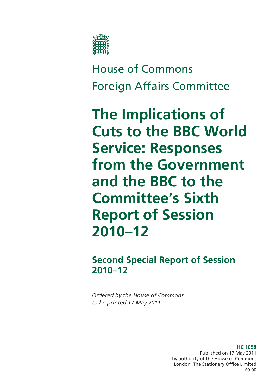

House of Commons Foreign Affairs Committee

**The Implications of Cuts to the BBC World Service: Responses from the Government and the BBC to the Committee's Sixth Report of Session 2010–12** 

**Second Special Report of Session 2010–12** 

*Ordered by the House of Commons to be printed 17 May 2011* 

> **HC 1058**  Published on 17 May 2011 by authority of the House of Commons London: The Stationery Office Limited £0.00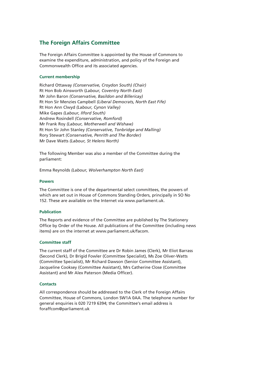#### **The Foreign Affairs Committee**

The Foreign Affairs Committee is appointed by the House of Commons to examine the expenditure, administration, and policy of the Foreign and Commonwealth Office and its associated agencies.

#### **Current membership**

Richard Ottaway *(Conservative, Croydon South) (Chair)* Rt Hon Bob Ainsworth (*Labour, Coventry North East)* Mr John Baron *(Conservative, Basildon and Billericay)* Rt Hon Sir Menzies Campbell *(Liberal Democrats, North East Fife)* Rt Hon Ann Clwyd *(Labour, Cynon Valley)* Mike Gapes *(Labour, Ilford South)* Andrew Rosindell *(Conservative, Romford)* Mr Frank Roy *(Labour, Motherwell and Wishaw)* Rt Hon Sir John Stanley *(Conservative, Tonbridge and Malling)* Rory Stewart *(Conservative, Penrith and The Border)* Mr Dave Watts *(Labour, St Helens North)*

The following Member was also a member of the Committee during the parliament:

Emma Reynolds *(Labour, Wolverhampton North East)*

#### **Powers**

The Committee is one of the departmental select committees, the powers of which are set out in House of Commons Standing Orders, principally in SO No 152. These are available on the Internet via www.parliament.uk.

#### **Publication**

The Reports and evidence of the Committee are published by The Stationery Office by Order of the House. All publications of the Committee (including news items) are on the internet at www.parliament.uk/facom.

#### **Committee staff**

The current staff of the Committee are Dr Robin James (Clerk), Mr Eliot Barrass (Second Clerk), Dr Brigid Fowler (Committee Specialist), Ms Zoe Oliver-Watts (Committee Specialist), Mr Richard Dawson (Senior Committee Assistant), Jacqueline Cooksey (Committee Assistant), Mrs Catherine Close (Committee Assistant) and Mr Alex Paterson (Media Officer).

#### **Contacts**

All correspondence should be addressed to the Clerk of the Foreign Affairs Committee, House of Commons, London SW1A 0AA. The telephone number for general enquiries is 020 7219 6394; the Committee's email address is foraffcom@parliament.uk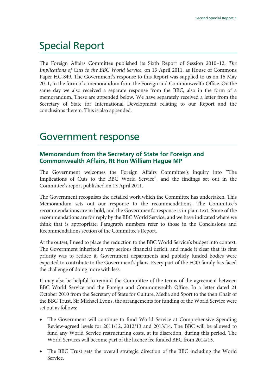# Special Report

The Foreign Affairs Committee published its Sixth Report of Session 2010–12, *The Implications of Cuts to the BBC World Service,* on 13 April 2011, as House of Commons Paper HC 849. The Government's response to this Report was supplied to us on 16 May 2011, in the form of a memorandum from the Foreign and Commonwealth Office. On the same day we also received a separate response from the BBC, also in the form of a memorandum. These are appended below. We have separately received a letter from the Secretary of State for International Development relating to our Report and the conclusions therein. This is also appended.

## Government response

## **Memorandum from the Secretary of State for Foreign and Commonwealth Affairs, Rt Hon William Hague MP**

The Government welcomes the Foreign Affairs Committee's inquiry into "The Implications of Cuts to the BBC World Service", and the findings set out in the Committee's report published on 13 April 2011.

The Government recognises the detailed work which the Committee has undertaken. This Memorandum sets out our response to the recommendations. The Committee's recommendations are in bold, and the Government's response is in plain text. Some of the recommendations are for reply by the BBC World Service, and we have indicated where we think that is appropriate. Paragraph numbers refer to those in the Conclusions and Recommendations section of the Committee's Report.

At the outset, I need to place the reduction to the BBC World Service's budget into context. The Government inherited a very serious financial deficit, and made it clear that its first priority was to reduce it. Government departments and publicly funded bodies were expected to contribute to the Government's plans. Every part of the FCO family has faced the challenge of doing more with less.

It may also be helpful to remind the Committee of the terms of the agreement between BBC World Service and the Foreign and Commonwealth Office. In a letter dated 21 October 2010 from the Secretary of State for Culture, Media and Sport to the then Chair of the BBC Trust, Sir Michael Lyons, the arrangements for funding of the World Service were set out as follows:

- The Government will continue to fund World Service at Comprehensive Spending Review-agreed levels for 2011/12, 2012/13 and 2013/14. The BBC will be allowed to fund any World Service restructuring costs, at its discretion, during this period. The World Services will become part of the licence fee funded BBC from 2014/15.
- The BBC Trust sets the overall strategic direction of the BBC including the World Service.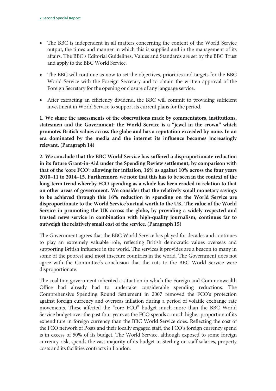- The BBC is independent in all matters concerning the content of the World Service output, the times and manner in which this is supplied and in the management of its affairs. The BBC's Editorial Guidelines, Values and Standards are set by the BBC Trust and apply to the BBC World Service.
- The BBC will continue as now to set the objectives, priorities and targets for the BBC World Service with the Foreign Secretary and to obtain the written approval of the Foreign Secretary for the opening or closure of any language service.
- After extracting an efficiency dividend, the BBC will commit to providing sufficient investment in World Service to support its current plans for the period.

**1. We share the assessments of the observations made by commentators, institutions, statesmen and the Government: the World Service is a "jewel in the crown" which promotes British values across the globe and has a reputation exceeded by none. In an era dominated by the media and the internet its influence becomes increasingly relevant. (Paragraph 14)** 

**2. We conclude that the BBC World Service has suffered a disproportionate reduction in its future Grant-in-Aid under the Spending Review settlement, by comparison with that of the 'core FCO': allowing for inflation, 16% as against 10% across the four years 2010–11 to 2014–15. Furthermore, we note that this has to be seen in the context of the long-term trend whereby FCO spending as a whole has been eroded in relation to that on other areas of government. We consider that the relatively small monetary savings to be achieved through this 16% reduction in spending on the World Service are disproportionate to the World Service's actual worth to the UK. The value of the World Service in promoting the UK across the globe, by providing a widely respected and trusted news service in combination with high-quality journalism, continues far to outweigh the relatively small cost of the service. (Paragraph 15)** 

The Government agrees that the BBC World Service has played for decades and continues to play an extremely valuable role, reflecting British democratic values overseas and supporting British influence in the world. The services it provides are a beacon to many in some of the poorest and most insecure countries in the world. The Government does not agree with the Committee's conclusion that the cuts to the BBC World Service were disproportionate.

The coalition government inherited a situation in which the Foreign and Commonwealth Office had already had to undertake considerable spending reductions. The Comprehensive Spending Round Settlement in 2007 removed the FCO's protection against foreign currency and overseas inflation during a period of volatile exchange rate movements. These affected the "core FCO" budget much more than the BBC World Service budget over the past four years as the FCO spends a much higher proportion of its expenditure in foreign currency than the BBC World Service does. Reflecting the cost of the FCO network of Posts and their locally engaged staff, the FCO's foreign currency spend is in excess of 50% of its budget. The World Service, although exposed to some foreign currency risk, spends the vast majority of its budget in Sterling on staff salaries, property costs and its facilities contracts in London.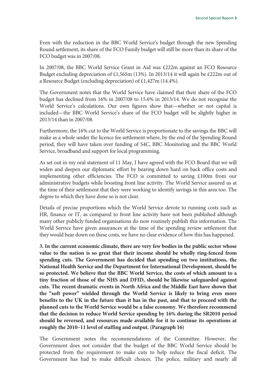Even with the reduction in the BBC World Service's budget through the new Spending Round settlement, its share of the FCO Family budget will still be more than its share of the FCO budget was in 2007/08.

In 2007/08, the BBC World Service Grant in Aid was £222m against an FCO Resource Budget excluding depreciation of £1,565m (13%). In 2013/14 it will again be £222m out of a Resource Budget (excluding depreciation) of £1,427m (14.4%).

The Government notes that the World Service have claimed that their share of the FCO budget has declined from 16% in 2007/08 to 15.6% in 2013/14. We do not recognise the World Service's calculations. Our own figures show that—whether or not capital is included—the BBC World Service's share of the FCO budget will be slightly higher in 2013/14 than in 2007/08.

Furthermore, the 16% cut to the World Service is proportionate to the savings the BBC will make as a whole under the licence fee settlement where, by the end of the Spending Round period, they will have taken over funding of S4C, BBC Monitoring and the BBC World Service, broadband and support for local programming.

As set out in my oral statement of 11 May, I have agreed with the FCO Board that we will widen and deepen our diplomatic effort by bearing down hard on back office costs and implementing other efficiencies. The FCO is committed to saving £100m from our administrative budgets while boosting front line activity. The World Service assured us at the time of their settlement that they were working to identify savings in this area too. The degree to which they have done so is not clear.

Details of precise proportions which the World Service devote to running costs such as HR, finance or IT, as compared to front line activity have not been published although many other publicly funded organisations do now routinely publish this information. The World Service have given assurances at the time of the spending review settlement that they would bear down on these costs, we have no clear evidence of how this has happened.

**3. In the current economic climate, there are very few bodies in the public sector whose value to the nation is so great that their income should be wholly ring-fenced from spending cuts. The Government has decided that spending on two institutions, the National Health Service and the Department for International Development, should be so protected. We believe that the BBC World Service, the costs of which amount to a tiny fraction of those of the NHS and DFID, should be likewise safeguarded against cuts. The recent dramatic events in North Africa and the Middle East have shown that the "soft power" wielded through the World Service is likely to bring even more benefits to the UK in the future than it has in the past, and that to proceed with the planned cuts to the World Service would be a false economy. We therefore recommend that the decision to reduce World Service spending by 16% during the SR2010 period should be reversed, and resources made available for it to continue its operations at roughly the 2010–11 level of staffing and output. (Paragraph 16)** 

The Government notes the recommendations of the Committee. However, the Government does not consider that the budget of the BBC World Service should be protected from the requirement to make cuts to help reduce the fiscal deficit. The Government has had to make difficult choices. The police, military and nearly all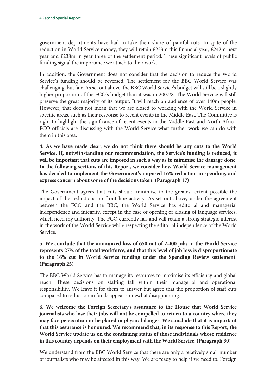government departments have had to take their share of painful cuts. In spite of the reduction in World Service money, they will retain  $£253m$  this financial year,  $£242m$  next year and £238m in year three of the settlement period. These significant levels of public funding signal the importance we attach to their work.

In addition, the Government does not consider that the decision to reduce the World Service's funding should be reversed. The settlement for the BBC World Service was challenging, but fair. As set out above, the BBC World Service's budget will still be a slightly higher proportion of the FCO's budget than it was in 2007/8. The World Service will still preserve the great majority of its output. It will reach an audience of over 140m people. However, that does not mean that we are closed to working with the World Service in specific areas, such as their response to recent events in the Middle East. The Committee is right to highlight the significance of recent events in the Middle East and North Africa. FCO officials are discussing with the World Service what further work we can do with them in this area.

**4. As we have made clear, we do not think there should be any cuts to the World Service. If, notwithstanding our recommendation, the Service's funding is reduced, it will be important that cuts are imposed in such a way as to minimise the damage done. In the following sections of this Report, we consider how World Service management has decided to implement the Government's imposed 16% reduction in spending, and express concern about some of the decisions taken. (Paragraph 17)** 

The Government agrees that cuts should minimise to the greatest extent possible the impact of the reductions on front line activity. As set out above, under the agreement between the FCO and the BBC, the World Service has editorial and managerial independence and integrity, except in the case of opening or closing of language services, which need my authority. The FCO currently has and will retain a strong strategic interest in the work of the World Service while respecting the editorial independence of the World Service.

#### **5. We conclude that the announced loss of 650 out of 2,400 jobs in the World Service represents 27% of the total workforce, and that this level of job loss is disproportionate to the 16% cut in World Service funding under the Spending Review settlement. (Paragraph 25)**

The BBC World Service has to manage its resources to maximise its efficiency and global reach. These decisions on staffing fall within their managerial and operational responsibility. We leave it for them to answer but agree that the proportion of staff cuts compared to reduction in funds appear somewhat disappointing.

**6. We welcome the Foreign Secretary's assurance to the House that World Service journalists who lose their jobs will not be compelled to return to a country where they may face persecution or be placed in physical danger. We conclude that it is important that this assurance is honoured. We recommend that, in its response to this Report, the World Service update us on the continuing status of those individuals whose residence in this country depends on their employment with the World Service. (Paragraph 30)** 

We understand from the BBC World Service that there are only a relatively small number of journalists who may be affected in this way. We are ready to help if we need to. Foreign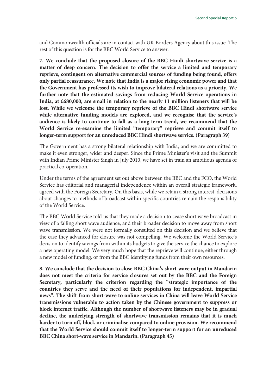and Commonwealth officials are in contact with UK Borders Agency about this issue. The rest of this question is for the BBC World Service to answer.

**7. We conclude that the proposed closure of the BBC Hindi shortwave service is a matter of deep concern. The decision to offer the service a limited and temporary reprieve, contingent on alternative commercial sources of funding being found, offers only partial reassurance. We note that India is a major rising economic power and that the Government has professed its wish to improve bilateral relations as a priority. We further note that the estimated savings from reducing World Service operations in India, at £680,000, are small in relation to the nearly 11 million listeners that will be lost. While we welcome the temporary reprieve of the BBC Hindi shortwave service while alternative funding models are explored, and we recognise that the service's audience is likely to continue to fall as a long-term trend, we recommend that the World Service re-examine the limited "temporary" reprieve and commit itself to longer-term support for an unreduced BBC Hindi shortwave service. (Paragraph 39)** 

The Government has a strong bilateral relationship with India, and we are committed to make it even stronger, wider and deeper. Since the Prime Minister's visit and the Summit with Indian Prime Minister Singh in July 2010, we have set in train an ambitious agenda of practical co-operation.

Under the terms of the agreement set out above between the BBC and the FCO, the World Service has editorial and managerial independence within an overall strategic framework, agreed with the Foreign Secretary. On this basis, while we retain a strong interest, decisions about changes to methods of broadcast within specific countries remain the responsibility of the World Service.

The BBC World Service told us that they made a decision to cease short wave broadcast in view of a falling short wave audience, and their broader decision to move away from short wave transmission. We were not formally consulted on this decision and we believe that the case they advanced for closure was not compelling. We welcome the World Service's decision to identify savings from within its budgets to give the service the chance to explore a new operating model. We very much hope that the reprieve will continue, either through a new model of funding, or from the BBC identifying funds from their own resources.

**8. We conclude that the decision to close BBC China's short-wave output in Mandarin does not meet the criteria for service closures set out by the BBC and the Foreign Secretary, particularly the criterion regarding the "strategic importance of the countries they serve and the need of their populations for independent, impartial news". The shift from short-wave to online services in China will leave World Service transmissions vulnerable to action taken by the Chinese government to suppress or block internet traffic. Although the number of shortwave listeners may be in gradual decline, the underlying strength of shortwave transmission remains that it is much harder to turn off, block or criminalise compared to online provision. We recommend that the World Service should commit itself to longer-term support for an unreduced BBC China short-wave service in Mandarin. (Paragraph 45)**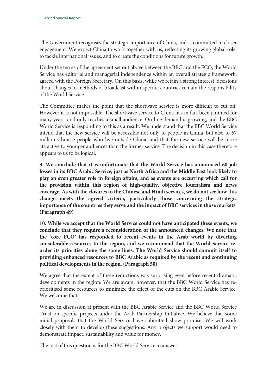The Government recognises the strategic importance of China, and is committed to closer engagement. We expect China to work together with us, reflecting its growing global role, to tackle international issues, and to create the conditions for future growth.

Under the terms of the agreement set out above between the BBC and the FCO, the World Service has editorial and managerial independence within an overall strategic framework, agreed with the Foreign Secretary. On this basis, while we retain a strong interest, decisions about changes to methods of broadcast within specific countries remain the responsibility of the World Service.

The Committee makes the point that the shortwave service is more difficult to cut off. However it is not impossible. The shortwave service to China has in fact been jammed for many years, and only reaches a small audience. On-line demand is growing, and the BBC World Service is responding to this as a result. We understand that the BBC World Service intend that the new service will be accessible not only to people in China, but also to 67 million Chinese people who live outside China, and that the new service will be more attractive to younger audiences than the former service. The decision in this case therefore appears to us to be logical.

**9. We conclude that it is unfortunate that the World Service has announced 60 job losses in its BBC Arabic Service, just as North Africa and the Middle East look likely to play an even greater role in foreign affairs, and as events are occurring which call for the provision within this region of high-quality, objective journalism and news coverage. As with the closures to the Chinese and Hindi services, we do not see how this change meets the agreed criteria, particularly those concerning the strategic importance of the countries they serve and the impact of BBC services in those markets. (Paragraph 49)** 

**10. While we accept that the World Service could not have anticipated these events, we conclude that they require a reconsideration of the announced changes. We note that the 'core FCO' has responded to recent events in the Arab world by diverting considerable resources to the region, and we recommend that the World Service reorder its priorities along the same lines. The World Service should commit itself to providing enhanced resources to BBC Arabic as required by the recent and continuing political developments in the region. (Paragraph 50)** 

We agree that the extent of these reductions was surprising even before recent dramatic developments in the region. We are aware, however, that the BBC World Service has reprioritised some resources to minimize the effect of the cuts on the BBC Arabic Service. We welcome that.

We are in discussion at present with the BBC Arabic Service and the BBC World Service Trust on specific projects under the Arab Partnership Initiative. We believe that some initial proposals that the World Service have submitted show promise. We will work closely with them to develop these suggestions. Any projects we support would need to demonstrate impact, sustainability and value for money.

The rest of this question is for the BBC World Service to answer.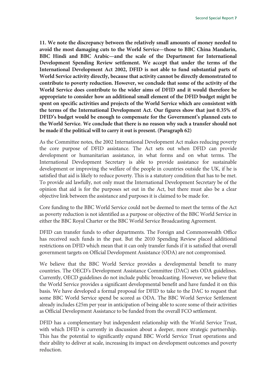**11. We note the discrepancy between the relatively small amounts of money needed to avoid the most damaging cuts to the World Service—those to BBC China Mandarin, BBC Hindi and BBC Arabic—and the scale of the Department for International Development Spending Review settlement. We accept that under the terms of the International Development Act 2002, DFID is not able to fund substantial parts of World Service activity directly, because that activity cannot be directly demonstrated to contribute to poverty reduction. However, we conclude that some of the activity of the World Service does contribute to the wider aims of DFID and it would therefore be appropriate to consider how an additional small element of the DFID budget might be spent on specific activities and projects of the World Service which are consistent with the terms of the International Development Act. Our figures show that just 0.35% of DFID's budget would be enough to compensate for the Government's planned cuts to the World Service. We conclude that there is no reason why such a transfer should not be made if the political will to carry it out is present. (Paragraph 62)** 

As the Committee notes, the 2002 International Development Act makes reducing poverty the core purpose of DFID assistance. The Act sets out when DFID can provide development or humanitarian assistance, in what forms and on what terms. The International Development Secretary is able to provide assistance for sustainable development or improving the welfare of the people in countries outside the UK, if he is satisfied that aid is likely to reduce poverty. This is a statutory condition that has to be met. To provide aid lawfully, not only must the International Development Secretary be of the opinion that aid is for the purposes set out in the Act, but there must also be a clear objective link between the assistance and purposes it is claimed to be made for.

Core funding to the BBC World Service could not be deemed to meet the terms of the Act as poverty reduction is not identified as a purpose or objective of the BBC World Service in either the BBC Royal Charter or the BBC World Service Broadcasting Agreement.

DFID can transfer funds to other departments. The Foreign and Commonwealth Office has received such funds in the past. But the 2010 Spending Review placed additional restrictions on DFID which mean that it can only transfer funds if it is satisfied that overall government targets on Official Development Assistance (ODA) are not compromised.

We believe that the BBC World Service provides a developmental benefit to many countries. The OECD's Development Assistance Committee (DAC) sets ODA guidelines. Currently, OECD guidelines do not include public broadcasting. However, we believe that the World Service provides a significant developmental benefit and have funded it on this basis. We have developed a formal proposal for DFID to take to the DAC to request that some BBC World Service spend be scored as ODA. The BBC World Service Settlement already includes £25m per year in anticipation of being able to score some of their activities as Official Development Assistance to be funded from the overall FCO settlement.

DFID has a complementary but independent relationship with the World Service Trust, with which DFID is currently in discussion about a deeper, more strategic partnership. This has the potential to significantly expand BBC World Service Trust operations and their ability to deliver at scale, increasing its impact on development outcomes and poverty reduction.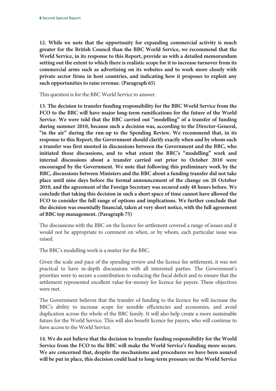**12. While we note that the opportunity for expanding commercial activity is much greater for the British Council than the BBC World Service, we recommend that the World Service, in its response to this Report, provide us with a detailed memorandum setting out the extent to which there is realistic scope for it to increase turnover from its commercial arms such as advertising on its websites and to work more closely with private sector firms in host countries, and indicating how it proposes to exploit any such opportunities to raise revenue. (Paragraph 65)** 

This question is for the BBC World Service to answer.

**13. The decision to transfer funding responsibility for the BBC World Service from the FCO to the BBC will have major long-term ramifications for the future of the World Service. We were told that the BBC carried out "modelling" of a transfer of funding during summer 2010, because such a decision was, according to the Director-General, "in the air" during the run-up to the Spending Review. We recommend that, in its response to this Report, the Government should clarify exactly when and by whom such a transfer was first mooted in discussions between the Government and the BBC, who initiated those discussions, and to what extent the BBC's "modelling" work and internal discussions about a transfer carried out prior to October 2010 were encouraged by the Government. We note that following this preliminary work by the BBC, discussions between Ministers and the BBC about a funding transfer did not take place until nine days before the formal announcement of the change on 20 October 2010, and the agreement of the Foreign Secretary was secured only 48 hours before. We conclude that taking this decision in such a short space of time cannot have allowed the FCO to consider the full range of options and implications. We further conclude that the decision was essentially financial, taken at very short notice, with the full agreement of BBC top management. (Paragraph 75)** 

The discussions with the BBC on the licence fee settlement covered a range of issues and it would not be appropriate to comment on when, or by whom, each particular issue was raised.

The BBC's modelling work is a matter for the BBC.

Given the scale and pace of the spending review and the licence fee settlement, it was not practical to have in-depth discussions with all interested parties. The Government's priorities were to secure a contribution to reducing the fiscal deficit and to ensure that the settlement represented excellent value-for-money for licence fee payers. These objectives were met.

The Government believes that the transfer of funding to the licence fee will increase the BBC's ability to increase scope for sensible efficiencies and economies, and avoid duplication across the whole of the BBC family. It will also help create a more sustainable future for the World Service. This will also benefit licence fee payers, who will continue to have access to the World Service.

**14. We do not believe that the decision to transfer funding responsibility for the World Service from the FCO to the BBC will make the World Service's funding more secure. We are concerned that, despite the mechanisms and procedures we have been assured will be put in place, this decision could lead to long-term pressure on the World Service**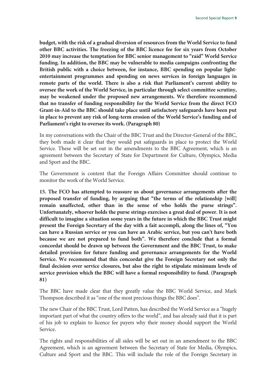**budget, with the risk of a gradual diversion of resources from the World Service to fund other BBC activities. The freezing of the BBC licence fee for six years from October 2010 may increase the temptation for BBC senior management to "raid" World Service funding. In addition, the BBC may be vulnerable to media campaigns confronting the British public with a choice between, for instance, BBC spending on popular lightentertainment programmes and spending on news services in foreign languages in remote parts of the world. There is also a risk that Parliament's current ability to oversee the work of the World Service, in particular through select committee scrutiny, may be weakened under the proposed new arrangements. We therefore recommend that no transfer of funding responsibility for the World Service from the direct FCO Grant-in-Aid to the BBC should take place until satisfactory safeguards have been put in place to prevent any risk of long-term erosion of the World Service's funding and of Parliament's right to oversee its work. (Paragraph 80)** 

In my conversations with the Chair of the BBC Trust and the Director-General of the BBC, they both made it clear that they would put safeguards in place to protect the World Service. These will be set out in the amendments to the BBC Agreement, which is an agreement between the Secretary of State for Department for Culture, Olympics, Media and Sport and the BBC.

The Government is content that the Foreign Affairs Committee should continue to monitor the work of the World Service.

**15. The FCO has attempted to reassure us about governance arrangements after the proposed transfer of funding, by arguing that "the terms of the relationship [will] remain unaffected, other than in the sense of who holds the purse strings". Unfortunately, whoever holds the purse strings exercises a great deal of power. It is not difficult to imagine a situation some years in the future in which the BBC Trust might present the Foreign Secretary of the day with a fait accompli, along the lines of, "You can have a Russian service or you can have an Arabic service, but you can't have both because we are not prepared to fund both". We therefore conclude that a formal concordat should be drawn up between the Government and the BBC Trust, to make detailed provision for future funding and governance arrangements for the World Service. We recommend that this concordat give the Foreign Secretary not only the final decision over service closures, but also the right to stipulate minimum levels of service provision which the BBC will have a formal responsibility to fund. (Paragraph 81)** 

The BBC have made clear that they greatly value the BBC World Service, and Mark Thompson described it as "one of the most precious things the BBC does".

The new Chair of the BBC Trust, Lord Patten, has described the World Service as a "hugely important part of what the country offers to the world", and has already said that it is part of his job to explain to licence fee payers why their money should support the World Service.

The rights and responsibilities of all sides will be set out in an amendment to the BBC Agreement, which is an agreement between the Secretary of State for Media, Olympics, Culture and Sport and the BBC. This will include the role of the Foreign Secretary in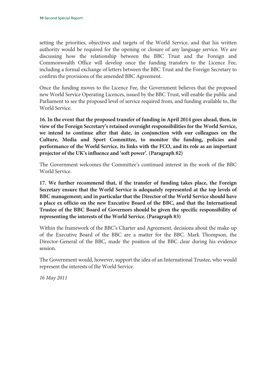setting the priorities, objectives and targets of the World Service, and that his written authority would be required for the opening or closure of any language service. We are discussing how the relationship between the BBC Trust and the Foreign and Commonwealth Office will develop once the funding transfers to the Licence Fee, including a formal exchange of letters between the BBC Trust and the Foreign Secretary to confirm the provisions of the amended BBC Agreement.

Once the funding moves to the Licence Fee, the Government believes that the proposed new World Service Operating Licences, issued by the BBC Trust, will enable the public and Parliament to see the proposed level of service required from, and funding available to, the World Service.

**16. In the event that the proposed transfer of funding in April 2014 goes ahead, then, in view of the Foreign Secretary's retained oversight responsibilities for the World Service, we intend to continue after that date, in conjunction with our colleagues on the Culture, Media and Sport Committee, to monitor the funding, policies and performance of the World Service, its links with the FCO, and its role as an important projector of the UK's influence and 'soft power'. (Paragraph 82)** 

The Government welcomes the Committee's continued interest in the work of the BBC World Service.

**17. We further recommend that, if the transfer of funding takes place, the Foreign Secretary ensure that the World Service is adequately represented at the top levels of BBC management; and in particular that the Director of the World Service should have a place ex officio on the new Executive Board of the BBC, and that the International Trustee of the BBC Board of Governors should be given the specific responsibility of representing the interests of the World Service. (Paragraph 83)** 

Within the framework of the BBC's Charter and Agreement, decisions about the make-up of the Executive Board of the BBC are a matter for the BBC. Mark Thompson, the Director-General of the BBC, made the position of the BBC clear during his evidence session.

The Government would, however, support the idea of an International Trustee, who would represent the interests of the World Service.

*16 May 2011*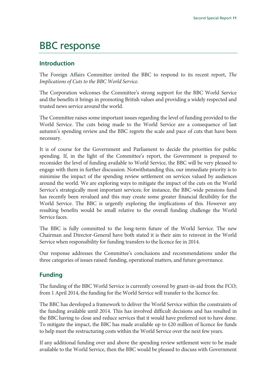## BBC response

#### **Introduction**

The Foreign Affairs Committee invited the BBC to respond to its recent report, *The Implications of Cuts to the BBC World Service*.

The Corporation welcomes the Committee's strong support for the BBC World Service and the benefits it brings in promoting British values and providing a widely respected and trusted news service around the world.

The Committee raises some important issues regarding the level of funding provided to the World Service. The cuts being made to the World Service are a consequence of last autumn's spending review and the BBC regrets the scale and pace of cuts that have been necessary.

It is of course for the Government and Parliament to decide the priorities for public spending. If, in the light of the Committee's report, the Government is prepared to reconsider the level of funding available to World Service, the BBC will be very pleased to engage with them in further discussion. Notwithstanding this, our immediate priority is to minimise the impact of the spending review settlement on services valued by audiences around the world. We are exploring ways to mitigate the impact of the cuts on the World Service's strategically most important services; for instance, the BBC-wide pensions fund has recently been revalued and this may create some greater financial flexibility for the World Service. The BBC is urgently exploring the implications of this. However any resulting benefits would be small relative to the overall funding challenge the World Service faces.

The BBC is fully committed to the long-term future of the World Service. The new Chairman and Director-General have both stated it is their aim to reinvest in the World Service when responsibility for funding transfers to the licence fee in 2014.

Our response addresses the Committee's conclusions and recommendations under the three categories of issues raised: funding, operational matters, and future governance.

### **Funding**

The funding of the BBC World Service is currently covered by grant-in-aid from the FCO; from 1 April 2014, the funding for the World Service will transfer to the licence fee.

The BBC has developed a framework to deliver the World Service within the constraints of the funding available until 2014. This has involved difficult decisions and has resulted in the BBC having to close and reduce services that it would have preferred not to have done. To mitigate the impact, the BBC has made available up to £20 million of licence fee funds to help meet the restructuring costs within the World Service over the next few years.

If any additional funding over and above the spending review settlement were to be made available to the World Service, then the BBC would be pleased to discuss with Government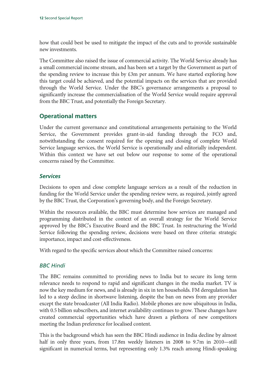how that could best be used to mitigate the impact of the cuts and to provide sustainable new investments.

The Committee also raised the issue of commercial activity. The World Service already has a small commercial income stream, and has been set a target by the Government as part of the spending review to increase this by £3m per annum. We have started exploring how this target could be achieved, and the potential impacts on the services that are provided through the World Service. Under the BBC's governance arrangements a proposal to significantly increase the commercialisation of the World Service would require approval from the BBC Trust, and potentially the Foreign Secretary.

### **Operational matters**

Under the current governance and constitutional arrangements pertaining to the World Service, the Government provides grant-in-aid funding through the FCO and, notwithstanding the consent required for the opening and closing of complete World Service language services, the World Service is operationally and editorially independent. Within this context we have set out below our response to some of the operational concerns raised by the Committee.

#### *Services*

Decisions to open and close complete language services as a result of the reduction in funding for the World Service under the spending review were, as required, jointly agreed by the BBC Trust, the Corporation's governing body, and the Foreign Secretary.

Within the resources available, the BBC must determine how services are managed and programming distributed in the context of an overall strategy for the World Service approved by the BBC's Executive Board and the BBC Trust. In restructuring the World Service following the spending review, decisions were based on three criteria: strategic importance, impact and cost-effectiveness.

With regard to the specific services about which the Committee raised concerns:

#### *BBC Hindi*

The BBC remains committed to providing news to India but to secure its long term relevance needs to respond to rapid and significant changes in the media market. TV is now the key medium for news, and is already in six in ten households. FM deregulation has led to a steep decline in shortwave listening, despite the ban on news from any provider except the state broadcaster (All India Radio). Mobile phones are now ubiquitous in India, with 0.5 billion subscribers, and internet availability continues to grow. These changes have created commercial opportunities which have drawn a plethora of new competitors meeting the Indian preference for localised content.

This is the background which has seen the BBC Hindi audience in India decline by almost half in only three years, from 17.8m weekly listeners in 2008 to 9.7m in 2010—still significant in numerical terms, but representing only 1.3% reach among Hindi-speaking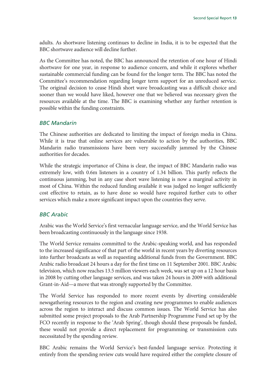adults. As shortwave listening continues to decline in India, it is to be expected that the BBC shortwave audience will decline further.

As the Committee has noted, the BBC has announced the retention of one hour of Hindi shortwave for one year, in response to audience concern, and while it explores whether sustainable commercial funding can be found for the longer term. The BBC has noted the Committee's recommendation regarding longer term support for an unreduced service. The original decision to cease Hindi short wave broadcasting was a difficult choice and sooner than we would have liked, however one that we believed was necessary given the resources available at the time. The BBC is examining whether any further retention is possible within the funding constraints.

#### *BBC Mandarin*

The Chinese authorities are dedicated to limiting the impact of foreign media in China. While it is true that online services are vulnerable to action by the authorities, BBC Mandarin radio transmissions have been very successfully jammed by the Chinese authorities for decades.

While the strategic importance of China is clear, the impact of BBC Mandarin radio was extremely low, with 0.6m listeners in a country of 1.34 billion. This partly reflects the continuous jamming, but in any case short wave listening is now a marginal activity in most of China. Within the reduced funding available it was judged no longer sufficiently cost effective to retain, as to have done so would have required further cuts to other services which make a more significant impact upon the countries they serve.

#### *BBC Arabic*

Arabic was the World Service's first vernacular language service, and the World Service has been broadcasting continuously in the language since 1938.

The World Service remains committed to the Arabic-speaking world, and has responded to the increased significance of that part of the world in recent years by diverting resources into further broadcasts as well as requesting additional funds from the Government. BBC Arabic radio broadcast 24 hours a day for the first time on 11 September 2001. BBC Arabic television, which now reaches 13.5 million viewers each week, was set up on a 12 hour basis in 2008 by cutting other language services, and was taken 24 hours in 2009 with additional Grant-in-Aid—a move that was strongly supported by the Committee.

The World Service has responded to more recent events by diverting considerable newsgathering resources to the region and creating new programmes to enable audiences across the region to interact and discuss common issues. The World Service has also submitted some project proposals to the Arab Partnership Programme Fund set up by the FCO recently in response to the 'Arab Spring', though should these proposals be funded, these would not provide a direct replacement for programming or transmission cuts necessitated by the spending review.

BBC Arabic remains the World Service's best-funded language service. Protecting it entirely from the spending review cuts would have required either the complete closure of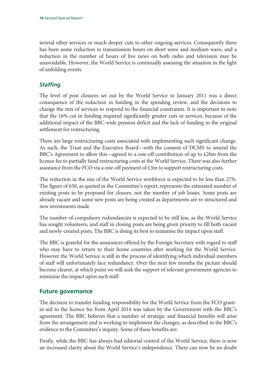several other services or much deeper cuts to other ongoing services. Consequently there has been some reduction in transmission hours on short wave and medium wave, and a reduction in the number of hours of live news on both radio and television may be unavoidable. However, the World Service is continually assessing the situation in the light of unfolding events.

#### *Staffing*

The level of post closures set out by the World Service in January 2011 was a direct consequence of the reduction in funding in the spending review, and the decisions to change the mix of services to respond to the financial constraints. It is important to note that the 16% cut in funding required significantly greater cuts in services, because of the additional impact of the BBC-wide pension deficit and the lack of funding in the original settlement for restructuring.

There are large restructuring costs associated with implementing such significant change. As such, the Trust and the Executive Board—with the consent of DCMS to amend the BBC's Agreement to allow this—agreed to a one-off contribution of up to £20m from the licence fee to partially fund restructuring costs at the World Service. There was also further assistance from the FCO via a one-off payment of £3m to support restructuring costs.

The reduction in the size of the World Service workforce is expected to be less than 27%. The figure of 650, as quoted in the Committee's report, represents the estimated number of existing posts to be proposed for closure, not the number of job losses. Some posts are already vacant and some new posts are being created as departments are re-structured and new investments made.

The number of compulsory redundancies is expected to be still less, as the World Service has sought volunteers, and staff in closing posts are being given priority to fill both vacant and newly-created posts. The BBC is doing its best to minimise the impact upon staff.

The BBC is grateful for the assurances offered by the Foreign Secretary with regard to staff who may have to return to their home countries after working for the World Service. However the World Service is still in the process of identifying which individual members of staff will unfortunately face redundancy. Over the next few months the picture should become clearer, at which point we will seek the support of relevant government agencies to minimise the impact upon such staff.

### **Future governance**

The decision to transfer funding responsibility for the World Service from the FCO grantin-aid to the licence fee from April 2014 was taken by the Government with the BBC's agreement. The BBC believes that a number of strategic and financial benefits will arise from the arrangement and is working to implement the changes, as described in the BBC's evidence to the Committee's inquiry. Some of these benefits are:

Firstly, while the BBC has always had editorial control of the World Service, there is now an increased clarity about the World Service's independence. There can now be no doubt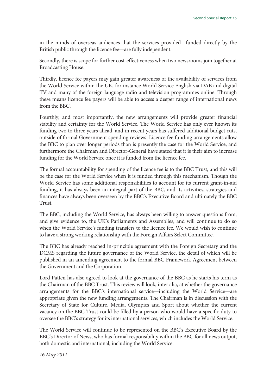in the minds of overseas audiences that the services provided—funded directly by the British public through the licence fee—are fully independent.

Secondly, there is scope for further cost-effectiveness when two newsrooms join together at Broadcasting House.

Thirdly, licence fee payers may gain greater awareness of the availability of services from the World Service within the UK, for instance World Service English via DAB and digital TV and many of the foreign language radio and television programmes online. Through these means licence fee payers will be able to access a deeper range of international news from the BBC.

Fourthly, and most importantly, the new arrangements will provide greater financial stability and certainty for the World Service. The World Service has only ever known its funding two to three years ahead, and in recent years has suffered additional budget cuts, outside of formal Government spending reviews. Licence fee funding arrangements allow the BBC to plan over longer periods than is presently the case for the World Service, and furthermore the Chairman and Director-General have stated that it is their aim to increase funding for the World Service once it is funded from the licence fee.

The formal accountability for spending of the licence fee is to the BBC Trust, and this will be the case for the World Service when it is funded through this mechanism. Though the World Service has some additional responsibilities to account for its current grant-in-aid funding, it has always been an integral part of the BBC, and its activities, strategies and finances have always been overseen by the BBC's Executive Board and ultimately the BBC Trust.

The BBC, including the World Service, has always been willing to answer questions from, and give evidence to, the UK's Parliaments and Assemblies, and will continue to do so when the World Service's funding transfers to the licence fee. We would wish to continue to have a strong working relationship with the Foreign Affairs Select Committee.

The BBC has already reached in-principle agreement with the Foreign Secretary and the DCMS regarding the future governance of the World Service, the detail of which will be published in an amending agreement to the formal BBC Framework Agreement between the Government and the Corporation.

Lord Patten has also agreed to look at the governance of the BBC as he starts his term as the Chairman of the BBC Trust. This review will look, inter alia, at whether the governance arrangements for the BBC's international service—including the World Service—are appropriate given the new funding arrangements. The Chairman is in discussion with the Secretary of State for Culture, Media, Olympics and Sport about whether the current vacancy on the BBC Trust could be filled by a person who would have a specific duty to oversee the BBC's strategy for its international services, which includes the World Service.

The World Service will continue to be represented on the BBC's Executive Board by the BBC's Director of News, who has formal responsibility within the BBC for all news output, both domestic and international, including the World Service.

*16 May 2011*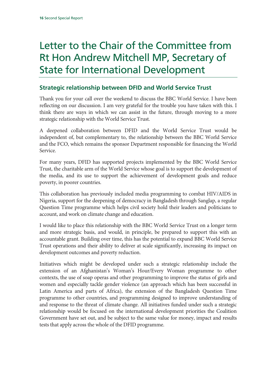## Letter to the Chair of the Committee from Rt Hon Andrew Mitchell MP, Secretary of State for International Development

## **Strategic relationship between DFID and World Service Trust**

Thank you for your call over the weekend to discuss the BBC World Service. I have been reflecting on our discussion. I am very grateful for the trouble you have taken with this. I think there are ways in which we can assist in the future, through moving to a more strategic relationship with the World Service Trust.

A deepened collaboration between DFID and the World Service Trust would be independent of, but complementary to, the relationship between the BBC World Service and the FCO, which remains the sponsor Department responsible for financing the World Service.

For many years, DFID has supported projects implemented by the BBC World Service Trust, the charitable arm of the World Service whose goal is to support the development of the media, and its use to support the achievement of development goals and reduce poverty, in poorer countries.

This collaboration has previously included media programming to combat HIV/AIDS in Nigeria, support for the deepening of democracy in Bangladesh through Sanglap, a regular Question Time programme which helps civil society hold their leaders and politicians to account, and work on climate change and education.

I would like to place this relationship with the BBC World Service Trust on a longer term and more strategic basis, and would, in principle, be prepared to support this with an accountable grant. Building over time, this has the potential to expand BBC World Service Trust operations and their ability to deliver at scale significantly, increasing its impact on development outcomes and poverty reduction.

Initiatives which might be developed under such a strategic relationship include the extension of an Afghanistan's Woman's Hour/Every Woman programme to other contexts, the use of soap operas and other programming to improve the status of girls and women and especially tackle gender violence (an approach which has been successful in Latin America and parts of Africa), the extension of the Bangladesh Question Time programme to other countries, and programming designed to improve understanding of and response to the threat of climate change. All initiatives funded under such a strategic relationship would be focused on the international development priorities the Coalition Government have set out, and be subject to the same value for money, impact and results tests that apply across the whole of the DFID programme.